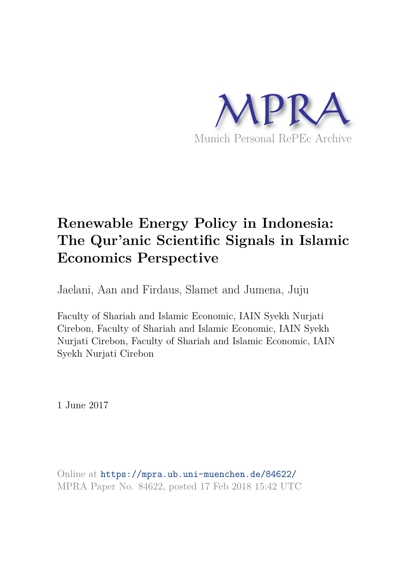

# **Renewable Energy Policy in Indonesia: The Qur'anic Scientific Signals in Islamic Economics Perspective**

Jaelani, Aan and Firdaus, Slamet and Jumena, Juju

Faculty of Shariah and Islamic Economic, IAIN Syekh Nurjati Cirebon, Faculty of Shariah and Islamic Economic, IAIN Syekh Nurjati Cirebon, Faculty of Shariah and Islamic Economic, IAIN Syekh Nurjati Cirebon

1 June 2017

Online at https://mpra.ub.uni-muenchen.de/84622/ MPRA Paper No. 84622, posted 17 Feb 2018 15:42 UTC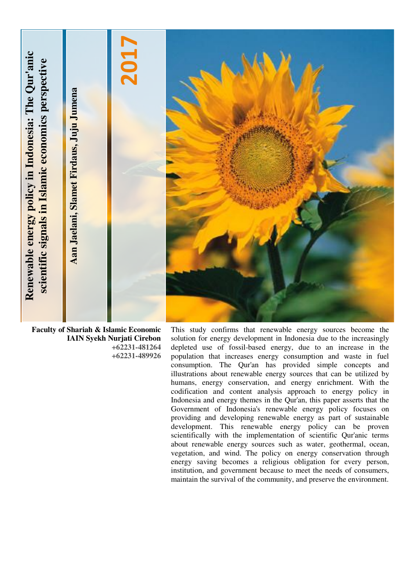

**Faculty of Shariah & Islamic Economic IAIN Syekh Nurjati Cirebon +62231-481264 +62231-489926**

This study confirms that renewable energy sources become the solution for energy development in Indonesia due to the increasingly depleted use of fossil-based energy, due to an increase in the population that increases energy consumption and waste in fuel consumption. The Qur'an has provided simple concepts and illustrations about renewable energy sources that can be utilized by humans, energy conservation, and energy enrichment. With the codification and content analysis approach to energy policy in Indonesia and energy themes in the Qur'an, this paper asserts that the Government of Indonesia's renewable energy policy focuses on providing and developing renewable energy as part of sustainable development. This renewable energy policy can be proven scientifically with the implementation of scientific Qur'anic terms about renewable energy sources such as water, geothermal, ocean, vegetation, and wind. The policy on energy conservation through energy saving becomes a religious obligation for every person, institution, and government because to meet the needs of consumers, maintain the survival of the community, and preserve the environment.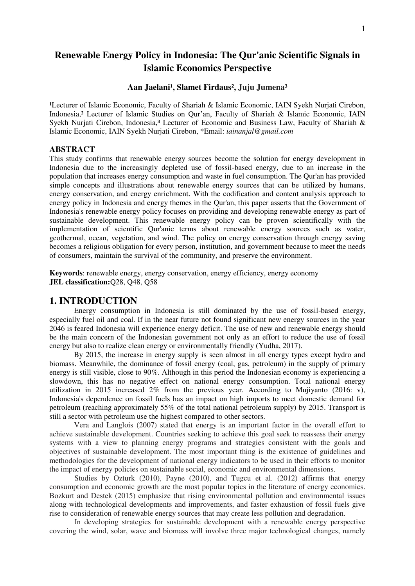# **Renewable Energy Policy in Indonesia: The Qur'anic Scientific Signals in Islamic Economics Perspective**

### Aan Jaelani<sup>1</sup>, Slamet Firdaus<sup>2</sup>, Juju Jumena<sup>3</sup>

<sup>1</sup>Lecturer of Islamic Economic, Faculty of Shariah & Islamic Economic, IAIN Syekh Nurjati Cirebon, Indonesia,² Lecturer of Islamic Studies on Qur'an, Faculty of Shariah & Islamic Economic, IAIN Syekh Nurjati Cirebon, Indonesia,<sup>3</sup> Lecturer of Economic and Business Law, Faculty of Shariah & Islamic Economic, IAIN Syekh Nurjati Cirebon, \*Email: *iainanjal@gmail.com*

# **ABSTRACT**

This study confirms that renewable energy sources become the solution for energy development in Indonesia due to the increasingly depleted use of fossil-based energy, due to an increase in the population that increases energy consumption and waste in fuel consumption. The Qur'an has provided simple concepts and illustrations about renewable energy sources that can be utilized by humans, energy conservation, and energy enrichment. With the codification and content analysis approach to energy policy in Indonesia and energy themes in the Qur'an, this paper asserts that the Government of Indonesia's renewable energy policy focuses on providing and developing renewable energy as part of sustainable development. This renewable energy policy can be proven scientifically with the implementation of scientific Qur'anic terms about renewable energy sources such as water, geothermal, ocean, vegetation, and wind. The policy on energy conservation through energy saving becomes a religious obligation for every person, institution, and government because to meet the needs of consumers, maintain the survival of the community, and preserve the environment.

**Keywords**: renewable energy, energy conservation, energy efficiency, energy economy **JEL classification:**Q28, Q48, Q58

# **1. INTRODUCTION**

Energy consumption in Indonesia is still dominated by the use of fossil-based energy, especially fuel oil and coal. If in the near future not found significant new energy sources in the year 2046 is feared Indonesia will experience energy deficit. The use of new and renewable energy should be the main concern of the Indonesian government not only as an effort to reduce the use of fossil energy but also to realize clean energy or environmentally friendly (Yudha, 2017).

By 2015, the increase in energy supply is seen almost in all energy types except hydro and biomass. Meanwhile, the dominance of fossil energy (coal, gas, petroleum) in the supply of primary energy is still visible, close to 90%. Although in this period the Indonesian economy is experiencing a slowdown, this has no negative effect on national energy consumption. Total national energy utilization in 2015 increased 2% from the previous year. According to Mujiyanto (2016: v), Indonesia's dependence on fossil fuels has an impact on high imports to meet domestic demand for petroleum (reaching approximately 55% of the total national petroleum supply) by 2015. Transport is still a sector with petroleum use the highest compared to other sectors.

Vera and Langlois (2007) stated that energy is an important factor in the overall effort to achieve sustainable development. Countries seeking to achieve this goal seek to reassess their energy systems with a view to planning energy programs and strategies consistent with the goals and objectives of sustainable development. The most important thing is the existence of guidelines and methodologies for the development of national energy indicators to be used in their efforts to monitor the impact of energy policies on sustainable social, economic and environmental dimensions.

Studies by Ozturk (2010), Payne (2010), and Tugcu et al. (2012) affirms that energy consumption and economic growth are the most popular topics in the literature of energy economics. Bozkurt and Destek (2015) emphasize that rising environmental pollution and environmental issues along with technological developments and improvements, and faster exhaustion of fossil fuels give rise to consideration of renewable energy sources that may create less pollution and degradation.

In developing strategies for sustainable development with a renewable energy perspective covering the wind, solar, wave and biomass will involve three major technological changes, namely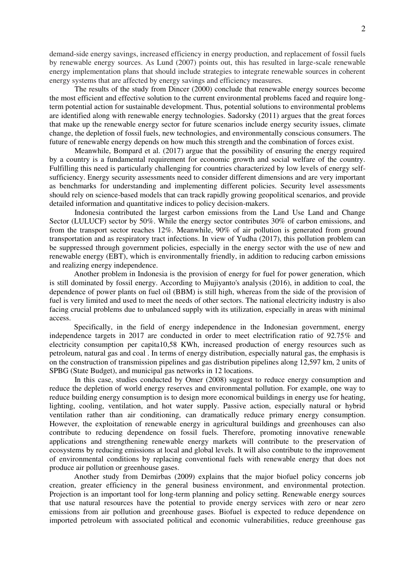demand-side energy savings, increased efficiency in energy production, and replacement of fossil fuels by renewable energy sources. As Lund (2007) points out, this has resulted in large-scale renewable energy implementation plans that should include strategies to integrate renewable sources in coherent energy systems that are affected by energy savings and efficiency measures.

The results of the study from Dincer (2000) conclude that renewable energy sources become the most efficient and effective solution to the current environmental problems faced and require longterm potential action for sustainable development. Thus, potential solutions to environmental problems are identified along with renewable energy technologies. Sadorsky (2011) argues that the great forces that make up the renewable energy sector for future scenarios include energy security issues, climate change, the depletion of fossil fuels, new technologies, and environmentally conscious consumers. The future of renewable energy depends on how much this strength and the combination of forces exist.

Meanwhile, Bompard et al. (2017) argue that the possibility of ensuring the energy required by a country is a fundamental requirement for economic growth and social welfare of the country. Fulfilling this need is particularly challenging for countries characterized by low levels of energy selfsufficiency. Energy security assessments need to consider different dimensions and are very important as benchmarks for understanding and implementing different policies. Security level assessments should rely on science-based models that can track rapidly growing geopolitical scenarios, and provide detailed information and quantitative indices to policy decision-makers.

Indonesia contributed the largest carbon emissions from the Land Use Land and Change Sector (LULUCF) sector by 50%. While the energy sector contributes 30% of carbon emissions, and from the transport sector reaches 12%. Meanwhile, 90% of air pollution is generated from ground transportation and as respiratory tract infections. In view of Yudha (2017), this pollution problem can be suppressed through government policies, especially in the energy sector with the use of new and renewable energy (EBT), which is environmentally friendly, in addition to reducing carbon emissions and realizing energy independence.

Another problem in Indonesia is the provision of energy for fuel for power generation, which is still dominated by fossil energy. According to Mujiyanto's analysis (2016), in addition to coal, the dependence of power plants on fuel oil (BBM) is still high, whereas from the side of the provision of fuel is very limited and used to meet the needs of other sectors. The national electricity industry is also facing crucial problems due to unbalanced supply with its utilization, especially in areas with minimal access.

Specifically, in the field of energy independence in the Indonesian government, energy independence targets in 2017 are conducted in order to meet electrification ratio of 92.75% and electricity consumption per capita10,58 KWh, increased production of energy resources such as petroleum, natural gas and coal . In terms of energy distribution, especially natural gas, the emphasis is on the construction of transmission pipelines and gas distribution pipelines along 12,597 km, 2 units of SPBG (State Budget), and municipal gas networks in 12 locations.

In this case, studies conducted by Omer (2008) suggest to reduce energy consumption and reduce the depletion of world energy reserves and environmental pollution. For example, one way to reduce building energy consumption is to design more economical buildings in energy use for heating, lighting, cooling, ventilation, and hot water supply. Passive action, especially natural or hybrid ventilation rather than air conditioning, can dramatically reduce primary energy consumption. However, the exploitation of renewable energy in agricultural buildings and greenhouses can also contribute to reducing dependence on fossil fuels. Therefore, promoting innovative renewable applications and strengthening renewable energy markets will contribute to the preservation of ecosystems by reducing emissions at local and global levels. It will also contribute to the improvement of environmental conditions by replacing conventional fuels with renewable energy that does not produce air pollution or greenhouse gases.

Another study from Demirbas (2009) explains that the major biofuel policy concerns job creation, greater efficiency in the general business environment, and environmental protection. Projection is an important tool for long-term planning and policy setting. Renewable energy sources that use natural resources have the potential to provide energy services with zero or near zero emissions from air pollution and greenhouse gases. Biofuel is expected to reduce dependence on imported petroleum with associated political and economic vulnerabilities, reduce greenhouse gas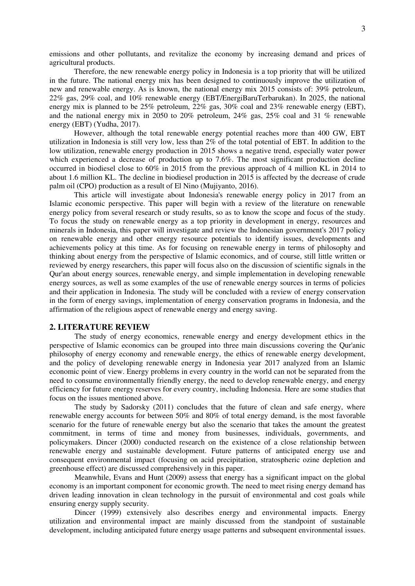emissions and other pollutants, and revitalize the economy by increasing demand and prices of agricultural products.

Therefore, the new renewable energy policy in Indonesia is a top priority that will be utilized in the future. The national energy mix has been designed to continuously improve the utilization of new and renewable energy. As is known, the national energy mix 2015 consists of: 39% petroleum, 22% gas, 29% coal, and 10% renewable energy (EBT/EnergiBaruTerbarukan). In 2025, the national energy mix is planned to be 25% petroleum, 22% gas, 30% coal and 23% renewable energy (EBT), and the national energy mix in 2050 to 20% petroleum, 24% gas, 25% coal and 31 % renewable energy (EBT) (Yudha, 2017).

However, although the total renewable energy potential reaches more than 400 GW, EBT utilization in Indonesia is still very low, less than 2% of the total potential of EBT. In addition to the low utilization, renewable energy production in 2015 shows a negative trend, especially water power which experienced a decrease of production up to 7.6%. The most significant production decline occurred in biodiesel close to 60% in 2015 from the previous approach of 4 million KL in 2014 to about 1.6 million KL. The decline in biodiesel production in 2015 is affected by the decrease of crude palm oil (CPO) production as a result of El Nino (Mujiyanto, 2016).

This article will investigate about Indonesia's renewable energy policy in 2017 from an Islamic economic perspective. This paper will begin with a review of the literature on renewable energy policy from several research or study results, so as to know the scope and focus of the study. To focus the study on renewable energy as a top priority in development in energy, resources and minerals in Indonesia, this paper will investigate and review the Indonesian government's 2017 policy on renewable energy and other energy resource potentials to identify issues, developments and achievements policy at this time. As for focusing on renewable energy in terms of philosophy and thinking about energy from the perspective of Islamic economics, and of course, still little written or reviewed by energy researchers, this paper will focus also on the discussion of scientific signals in the Qur'an about energy sources, renewable energy, and simple implementation in developing renewable energy sources, as well as some examples of the use of renewable energy sources in terms of policies and their application in Indonesia. The study will be concluded with a review of energy conservation in the form of energy savings, implementation of energy conservation programs in Indonesia, and the affirmation of the religious aspect of renewable energy and energy saving.

#### **2. LITERATURE REVIEW**

The study of energy economics, renewable energy and energy development ethics in the perspective of Islamic economics can be grouped into three main discussions covering the Qur'anic philosophy of energy economy and renewable energy, the ethics of renewable energy development, and the policy of developing renewable energy in Indonesia year 2017 analyzed from an Islamic economic point of view. Energy problems in every country in the world can not be separated from the need to consume environmentally friendly energy, the need to develop renewable energy, and energy efficiency for future energy reserves for every country, including Indonesia. Here are some studies that focus on the issues mentioned above.

The study by Sadorsky (2011) concludes that the future of clean and safe energy, where renewable energy accounts for between 50% and 80% of total energy demand, is the most favorable scenario for the future of renewable energy but also the scenario that takes the amount the greatest commitment, in terms of time and money from businesses, individuals, governments, and policymakers. Dincer (2000) conducted research on the existence of a close relationship between renewable energy and sustainable development. Future patterns of anticipated energy use and consequent environmental impact (focusing on acid precipitation, stratospheric ozine depletion and greenhouse effect) are discussed comprehensively in this paper.

Meanwhile, Evans and Hunt (2009) assess that energy has a significant impact on the global economy is an important component for economic growth. The need to meet rising energy demand has driven leading innovation in clean technology in the pursuit of environmental and cost goals while ensuring energy supply security.

Dincer (1999) extensively also describes energy and environmental impacts. Energy utilization and environmental impact are mainly discussed from the standpoint of sustainable development, including anticipated future energy usage patterns and subsequent environmental issues.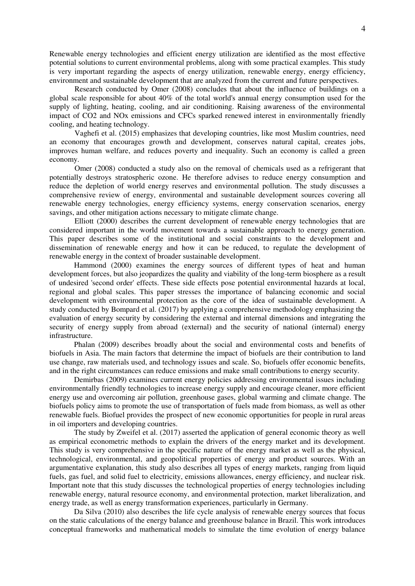Renewable energy technologies and efficient energy utilization are identified as the most effective potential solutions to current environmental problems, along with some practical examples. This study is very important regarding the aspects of energy utilization, renewable energy, energy efficiency, environment and sustainable development that are analyzed from the current and future perspectives.

Research conducted by Omer (2008) concludes that about the influence of buildings on a global scale responsible for about 40% of the total world's annual energy consumption used for the supply of lighting, heating, cooling, and air conditioning. Raising awareness of the environmental impact of CO2 and NOx emissions and CFCs sparked renewed interest in environmentally friendly cooling, and heating technology.

Vaghefi et al. (2015) emphasizes that developing countries, like most Muslim countries, need an economy that encourages growth and development, conserves natural capital, creates jobs, improves human welfare, and reduces poverty and inequality. Such an economy is called a green economy.

Omer (2008) conducted a study also on the removal of chemicals used as a refrigerant that potentially destroys stratospheric ozone. He therefore advises to reduce energy consumption and reduce the depletion of world energy reserves and environmental pollution. The study discusses a comprehensive review of energy, environmental and sustainable development sources covering all renewable energy technologies, energy efficiency systems, energy conservation scenarios, energy savings, and other mitigation actions necessary to mitigate climate change.

Elliott (2000) describes the current development of renewable energy technologies that are considered important in the world movement towards a sustainable approach to energy generation. This paper describes some of the institutional and social constraints to the development and dissemination of renewable energy and how it can be reduced, to regulate the development of renewable energy in the context of broader sustainable development.

Hammond (2000) examines the energy sources of different types of heat and human development forces, but also jeopardizes the quality and viability of the long-term biosphere as a result of undesired 'second order' effects. These side effects pose potential environmental hazards at local, regional and global scales. This paper stresses the importance of balancing economic and social development with environmental protection as the core of the idea of sustainable development. A study conducted by Bompard et al. (2017) by applying a comprehensive methodology emphasizing the evaluation of energy security by considering the external and internal dimensions and integrating the security of energy supply from abroad (external) and the security of national (internal) energy infrastructure.

Phalan (2009) describes broadly about the social and environmental costs and benefits of biofuels in Asia. The main factors that determine the impact of biofuels are their contribution to land use change, raw materials used, and technology issues and scale. So, biofuels offer economic benefits, and in the right circumstances can reduce emissions and make small contributions to energy security.

Demirbas (2009) examines current energy policies addressing environmental issues including environmentally friendly technologies to increase energy supply and encourage cleaner, more efficient energy use and overcoming air pollution, greenhouse gases, global warming and climate change. The biofuels policy aims to promote the use of transportation of fuels made from biomass, as well as other renewable fuels. Biofuel provides the prospect of new economic opportunities for people in rural areas in oil importers and developing countries.

The study by Zweifel et al. (2017) asserted the application of general economic theory as well as empirical econometric methods to explain the drivers of the energy market and its development. This study is very comprehensive in the specific nature of the energy market as well as the physical, technological, environmental, and geopolitical properties of energy and product sources. With an argumentative explanation, this study also describes all types of energy markets, ranging from liquid fuels, gas fuel, and solid fuel to electricity, emissions allowances, energy efficiency, and nuclear risk. Important note that this study discusses the technological properties of energy technologies including renewable energy, natural resource economy, and environmental protection, market liberalization, and energy trade, as well as energy transformation experiences, particularly in Germany.

Da Silva (2010) also describes the life cycle analysis of renewable energy sources that focus on the static calculations of the energy balance and greenhouse balance in Brazil. This work introduces conceptual frameworks and mathematical models to simulate the time evolution of energy balance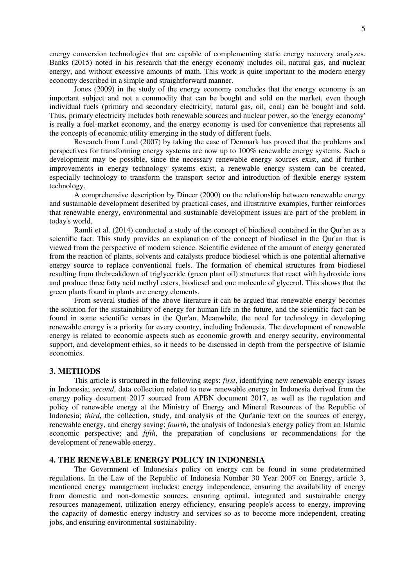energy conversion technologies that are capable of complementing static energy recovery analyzes. Banks (2015) noted in his research that the energy economy includes oil, natural gas, and nuclear energy, and without excessive amounts of math. This work is quite important to the modern energy economy described in a simple and straightforward manner.

Jones (2009) in the study of the energy economy concludes that the energy economy is an important subject and not a commodity that can be bought and sold on the market, even though individual fuels (primary and secondary electricity, natural gas, oil, coal) can be bought and sold. Thus, primary electricity includes both renewable sources and nuclear power, so the 'energy economy' is really a fuel-market economy, and the energy economy is used for convenience that represents all the concepts of economic utility emerging in the study of different fuels.

Research from Lund (2007) by taking the case of Denmark has proved that the problems and perspectives for transforming energy systems are now up to 100% renewable energy systems. Such a development may be possible, since the necessary renewable energy sources exist, and if further improvements in energy technology systems exist, a renewable energy system can be created, especially technology to transform the transport sector and introduction of flexible energy system technology.

A comprehensive description by Dincer (2000) on the relationship between renewable energy and sustainable development described by practical cases, and illustrative examples, further reinforces that renewable energy, environmental and sustainable development issues are part of the problem in today's world.

Ramli et al. (2014) conducted a study of the concept of biodiesel contained in the Qur'an as a scientific fact. This study provides an explanation of the concept of biodiesel in the Qur'an that is viewed from the perspective of modern science. Scientific evidence of the amount of energy generated from the reaction of plants, solvents and catalysts produce biodiesel which is one potential alternative energy source to replace conventional fuels. The formation of chemical structures from biodiesel resulting from thebreakdown of triglyceride (green plant oil) structures that react with hydroxide ions and produce three fatty acid methyl esters, biodiesel and one molecule of glycerol. This shows that the green plants found in plants are energy elements.

From several studies of the above literature it can be argued that renewable energy becomes the solution for the sustainability of energy for human life in the future, and the scientific fact can be found in some scientific verses in the Qur'an. Meanwhile, the need for technology in developing renewable energy is a priority for every country, including Indonesia. The development of renewable energy is related to economic aspects such as economic growth and energy security, environmental support, and development ethics, so it needs to be discussed in depth from the perspective of Islamic economics.

#### **3. METHODS**

This article is structured in the following steps: *first*, identifying new renewable energy issues in Indonesia; *second*, data collection related to new renewable energy in Indonesia derived from the energy policy document 2017 sourced from APBN document 2017, as well as the regulation and policy of renewable energy at the Ministry of Energy and Mineral Resources of the Republic of Indonesia; *third*, the collection, study, and analysis of the Qur'anic text on the sources of energy, renewable energy, and energy saving; *fourth*, the analysis of Indonesia's energy policy from an Islamic economic perspective; and *fifth*, the preparation of conclusions or recommendations for the development of renewable energy.

#### **4. THE RENEWABLE ENERGY POLICY IN INDONESIA**

The Government of Indonesia's policy on energy can be found in some predetermined regulations. In the Law of the Republic of Indonesia Number 30 Year 2007 on Energy, article 3, mentioned energy management includes: energy independence, ensuring the availability of energy from domestic and non-domestic sources, ensuring optimal, integrated and sustainable energy resources management, utilization energy efficiency, ensuring people's access to energy, improving the capacity of domestic energy industry and services so as to become more independent, creating jobs, and ensuring environmental sustainability.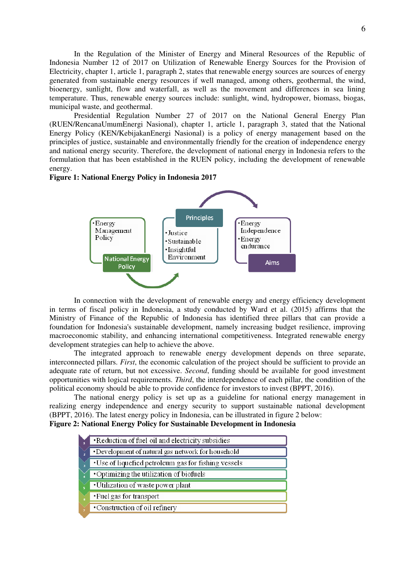In the Regulation of the Minister of Energy and Mineral Resources of the Republic of Indonesia Number 12 of 2017 on Utilization of Renewable Energy Sources for the Provision of Electricity, chapter 1, article 1, paragraph 2, states that renewable energy sources are sources of energy generated from sustainable energy resources if well managed, among others, geothermal, the wind, bioenergy, sunlight, flow and waterfall, as well as the movement and differences in sea lining temperature. Thus, renewable energy sources include: sunlight, wind, hydropower, biomass, biogas, municipal waste, and geothermal.

Presidential Regulation Number 27 of 2017 on the National General Energy Plan (RUEN/RencanaUmumEnergi Nasional), chapter 1, article 1, paragraph 3, stated that the National Energy Policy (KEN/KebijakanEnergi Nasional) is a policy of energy management based on the principles of justice, sustainable and environmentally friendly for the creation of independence energy and national energy security. Therefore, the development of national energy in Indonesia refers to the formulation that has been established in the RUEN policy, including the development of renewable energy.





In connection with the development of renewable energy and energy efficiency development in terms of fiscal policy in Indonesia, a study conducted by Ward et al. (2015) affirms that the Ministry of Finance of the Republic of Indonesia has identified three pillars that can provide a foundation for Indonesia's sustainable development, namely increasing budget resilience, improving macroeconomic stability, and enhancing international competitiveness. Integrated renewable energy development strategies can help to achieve the above.

The integrated approach to renewable energy development depends on three separate, interconnected pillars. *First*, the economic calculation of the project should be sufficient to provide an adequate rate of return, but not excessive. *Second*, funding should be available for good investment opportunities with logical requirements. *Third*, the interdependence of each pillar, the condition of the political economy should be able to provide confidence for investors to invest (BPPT, 2016).

The national energy policy is set up as a guideline for national energy management in realizing energy independence and energy security to support sustainable national development (BPPT, 2016). The latest energy policy in Indonesia, can be illustrated in figure 2 below:

|  |  | Figure 2: National Energy Policy for Sustainable Development in Indonesia |
|--|--|---------------------------------------------------------------------------|
|--|--|---------------------------------------------------------------------------|

| • Reduction of fuel oil and electricity subsidies    |
|------------------------------------------------------|
| • Development of natural gas network for household   |
| • Use of liquefied petroleum gas for fishing vessels |
| • Optimizing the utilization of biofuels             |
| • Utilization of waste power plant                   |
| •Fuel gas for transport                              |
| • Construction of oil refinery                       |
|                                                      |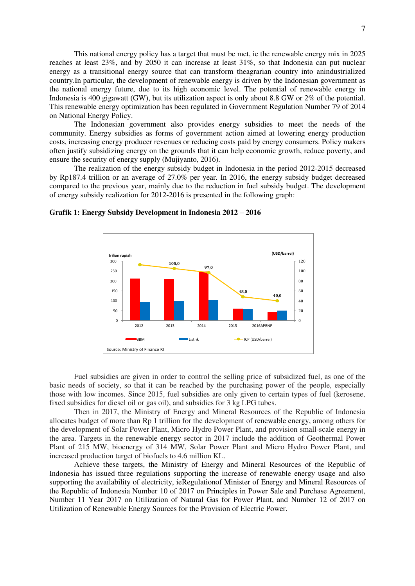This national energy policy has a target that must be met, ie the renewable energy mix in 2025 reaches at least 23%, and by 2050 it can increase at least 31%, so that Indonesia can put nuclear energy as a transitional energy source that can transform theagrarian country into anindustrialized country.In particular, the development of renewable energy is driven by the Indonesian government as the national energy future, due to its high economic level. The potential of renewable energy in Indonesia is 400 gigawatt (GW), but its utilization aspect is only about 8.8 GW or 2% of the potential. This renewable energy optimization has been regulated in Government Regulation Number 79 of 2014 on National Energy Policy.

The Indonesian government also provides energy subsidies to meet the needs of the community. Energy subsidies as forms of government action aimed at lowering energy production costs, increasing energy producer revenues or reducing costs paid by energy consumers. Policy makers often justify subsidizing energy on the grounds that it can help economic growth, reduce poverty, and ensure the security of energy supply (Mujiyanto, 2016).

The realization of the energy subsidy budget in Indonesia in the period 2012-2015 decreased by Rp187.4 trillion or an average of 27.0% per year. In 2016, the energy subsidy budget decreased compared to the previous year, mainly due to the reduction in fuel subsidy budget. The development of energy subsidy realization for 2012-2016 is presented in the following graph:



**Grafik 1: Energy Subsidy Development in Indonesia 2012 – 2016** 

Fuel subsidies are given in order to control the selling price of subsidized fuel, as one of the basic needs of society, so that it can be reached by the purchasing power of the people, especially those with low incomes. Since 2015, fuel subsidies are only given to certain types of fuel (kerosene, fixed subsidies for diesel oil or gas oil), and subsidies for 3 kg LPG tubes.

Then in 2017, the Ministry of Energy and Mineral Resources of the Republic of Indonesia allocates budget of more than Rp 1 trillion for the development of renewable energy, among others for the development of Solar Power Plant, Micro Hydro Power Plant, and provision small-scale energy in the area. Targets in the renewable energy sector in 2017 include the addition of Geothermal Power Plant of 215 MW, bioenergy of 314 MW, Solar Power Plant and Micro Hydro Power Plant, and increased production target of biofuels to 4.6 million KL.

Achieve these targets, the Ministry of Energy and Mineral Resources of the Republic of Indonesia has issued three regulations supporting the increase of renewable energy usage and also supporting the availability of electricity, ieRegulationof Minister of Energy and Mineral Resources of the Republic of Indonesia Number 10 of 2017 on Principles in Power Sale and Purchase Agreement, Number 11 Year 2017 on Utilization of Natural Gas for Power Plant, and Number 12 of 2017 on Utilization of Renewable Energy Sources for the Provision of Electric Power.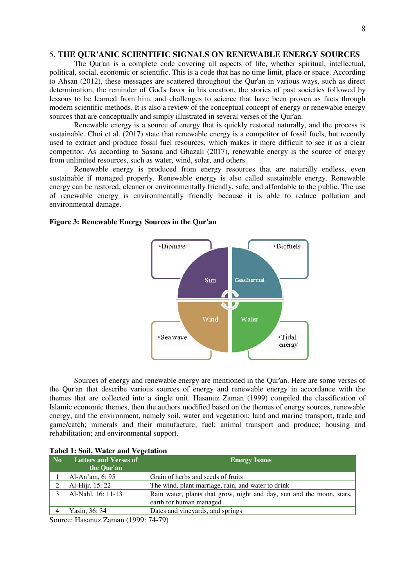# 5. **THE QUR'ANIC SCIENTIFIC SIGNALS ON RENEWABLE ENERGY SOURCES**

The Qur'an is a complete code covering all aspects of life, whether spiritual, intellectual, political, social, economic or scientific. This is a code that has no time limit, place or space. According to Ahsan (2012), these messages are scattered throughout the Qur'an in various ways, such as direct determination, the reminder of God's favor in his creation, the stories of past societies followed by lessons to be learned from him, and challenges to science that have been proven as facts through modern scientific methods. It is also a review of the conceptual concept of energy or renewable energy sources that are conceptually and simply illustrated in several verses of the Qur'an.

Renewable energy is a source of energy that is quickly restored naturally, and the process is sustainable. Choi et al. (2017) state that renewable energy is a competitor of fossil fuels, but recently used to extract and produce fossil fuel resources, which makes it more difficult to see it as a clear competitor. As according to Sasana and Ghazali (2017), renewable energy is the source of energy from unlimited resources, such as water, wind, solar, and others.

Renewable energy is produced from energy resources that are naturally endless, even sustainable if managed properly. Renewable energy is also called sustainable energy. Renewable energy can be restored, cleaner or environmentally friendly, safe, and affordable to the public. The use of renewable energy is environmentally friendly because it is able to reduce pollution and environmental damage.

# **Figure 3: Renewable Energy Sources in the Qur'an**



Sources of energy and renewable energy are mentioned in the Qur'an. Here are some verses of the Qur'an that describe various sources of energy and renewable energy in accordance with the themes that are collected into a single unit. Hasanuz Zaman (1999) compiled the classification of Islamic economic themes, then the authors modified based on the themes of energy sources, renewable energy, and the environment, namely soil, water and vegetation; land and marine transport, trade and game/catch; minerals and their manufacture; fuel; animal transport and produce; housing and rehabilitation; and environmental support.

| <b>Tabel 1: Soil, Water and Vegetation</b> |  |  |  |
|--------------------------------------------|--|--|--|
|--------------------------------------------|--|--|--|

| N <sub>0</sub> | <b>Letters and Verses of</b><br>the Qur'an | <b>Energy Issues</b>                                                                             |  |
|----------------|--------------------------------------------|--------------------------------------------------------------------------------------------------|--|
|                | Al-An'am, 6: 95                            | Grain of herbs and seeds of fruits                                                               |  |
|                | Al-Hijr, 15: 22                            | The wind, plant marriage, rain, and water to drink                                               |  |
|                | Al-Nahl, 16: 11-13                         | Rain water, plants that grow, night and day, sun and the moon, stars,<br>earth for human managed |  |
|                | Yasin, 36: 34                              | Dates and vineyards, and springs                                                                 |  |

Source: Hasanuz Zaman (1999: 74-79)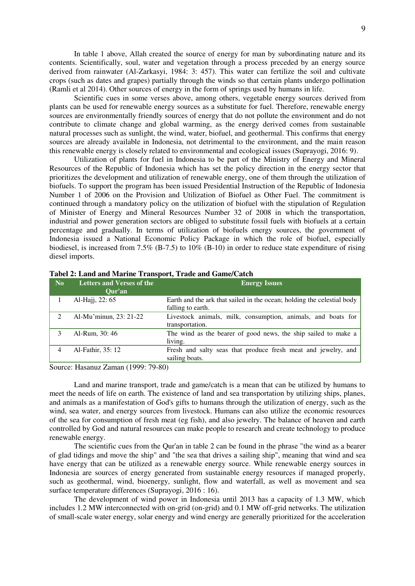In table 1 above, Allah created the source of energy for man by subordinating nature and its contents. Scientifically, soul, water and vegetation through a process preceded by an energy source derived from rainwater (Al-Zarkasyi, 1984: 3: 457). This water can fertilize the soil and cultivate crops (such as dates and grapes) partially through the winds so that certain plants undergo pollination (Ramli et al 2014). Other sources of energy in the form of springs used by humans in life.

Scientific cues in some verses above, among others, vegetable energy sources derived from plants can be used for renewable energy sources as a substitute for fuel. Therefore, renewable energy sources are environmentally friendly sources of energy that do not pollute the environment and do not contribute to climate change and global warming, as the energy derived comes from sustainable natural processes such as sunlight, the wind, water, biofuel, and geothermal. This confirms that energy sources are already available in Indonesia, not detrimental to the environment, and the main reason this renewable energy is closely related to environmental and ecological issues (Suprayogi, 2016: 9).

Utilization of plants for fuel in Indonesia to be part of the Ministry of Energy and Mineral Resources of the Republic of Indonesia which has set the policy direction in the energy sector that prioritizes the development and utilization of renewable energy, one of them through the utilization of biofuels. To support the program has been issued Presidential Instruction of the Republic of Indonesia Number 1 of 2006 on the Provision and Utilization of Biofuel as Other Fuel. The commitment is continued through a mandatory policy on the utilization of biofuel with the stipulation of Regulation of Minister of Energy and Mineral Resources Number 32 of 2008 in which the transportation, industrial and power generation sectors are obliged to substitute fossil fuels with biofuels at a certain percentage and gradually. In terms of utilization of biofuels energy sources, the government of Indonesia issued a National Economic Policy Package in which the role of biofuel, especially biodiesel, is increased from 7.5% (B-7.5) to 10% (B-10) in order to reduce state expenditure of rising diesel imports.

| N <sub>0</sub> | <b>Letters and Verses of the</b><br>Our'an | <b>Energy Issues</b>                                                                        |
|----------------|--------------------------------------------|---------------------------------------------------------------------------------------------|
|                | Al-Hajj, 22: 65                            | Earth and the ark that sailed in the ocean; holding the celestial body<br>falling to earth. |
|                | Al-Mu'minun, 23: 21-22                     | Livestock animals, milk, consumption, animals, and boats for<br>transportation.             |
|                | Al-Rum, 30: 46                             | The wind as the bearer of good news, the ship sailed to make a<br>living.                   |
|                | Al-Fathir, 35: 12                          | Fresh and salty seas that produce fresh meat and jewelry, and<br>sailing boats.             |

**Tabel 2: Land and Marine Transport, Trade and Game/Catch**

Source: Hasanuz Zaman (1999: 79-80)

Land and marine transport, trade and game/catch is a mean that can be utilized by humans to meet the needs of life on earth. The existence of land and sea transportation by utilizing ships, planes, and animals as a manifestation of God's gifts to humans through the utilization of energy, such as the wind, sea water, and energy sources from livestock. Humans can also utilize the economic resources of the sea for consumption of fresh meat (eg fish), and also jewelry. The balance of heaven and earth controlled by God and natural resources can make people to research and create technology to produce renewable energy.

The scientific cues from the Qur'an in table 2 can be found in the phrase "the wind as a bearer of glad tidings and move the ship" and "the sea that drives a sailing ship", meaning that wind and sea have energy that can be utilized as a renewable energy source. While renewable energy sources in Indonesia are sources of energy generated from sustainable energy resources if managed properly, such as geothermal, wind, bioenergy, sunlight, flow and waterfall, as well as movement and sea surface temperature differences (Suprayogi, 2016 : 16).

The development of wind power in Indonesia until 2013 has a capacity of 1.3 MW, which includes 1.2 MW interconnected with on-grid (on-grid) and 0.1 MW off-grid networks. The utilization of small-scale water energy, solar energy and wind energy are generally prioritized for the acceleration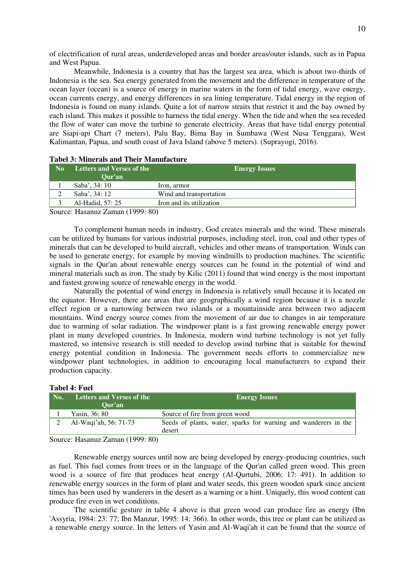of electrification of rural areas, underdeveloped areas and border areas/outer islands, such as in Papua and West Papua.

Meanwhile, Indonesia is a country that has the largest sea area, which is about two-thirds of Indonesia is the sea. Sea energy generated from the movement and the difference in temperature of the ocean layer (ocean) is a source of energy in marine waters in the form of tidal energy, wave energy, ocean currents energy, and energy differences in sea lining temperature. Tidal energy in the region of Indonesia is found on many islands. Quite a lot of narrow straits that restrict it and the bay owned by each island. This makes it possible to harness the tidal energy. When the tide and when the sea receded the flow of water can move the turbine to generate electricity. Areas that have tidal energy potential are Siapi-api Chart (7 meters), Palu Bay, Bima Bay in Sumbawa (West Nusa Tenggara), West Kalimantan, Papua, and south coast of Java Island (above 5 meters). (Suprayogi, 2016).

| N <sub>0</sub> | Letters and Verses of the <b>Le</b><br>Our'an | <b>Energy Issues</b>     |
|----------------|-----------------------------------------------|--------------------------|
|                | Saba', 34: 10                                 | fron, armor              |
|                | Saba', 34: 12                                 | Wind and transportation  |
|                | Al-Hadid, 57: 25                              | Iron and its utilization |

# **Tabel 3: Minerals and Their Manufacture**

Source: Hasanuz Zaman (1999: 80)

To complement human needs in industry, God creates minerals and the wind. These minerals can be utilized by humans for various industrial purposes, including steel, iron, coal and other types of minerals that can be developed to build aircraft, vehicles and other means of transportation. Winds can be used to generate energy, for example by moving windmills to production machines. The scientific signals in the Qur'an about renewable energy sources can be found in the potential of wind and mineral materials such as iron. The study by Kilic (2011) found that wind energy is the most important and fastest growing source of renewable energy in the world.

Naturally the potential of wind energy in Indonesia is relatively small because it is located on the equator. However, there are areas that are geographically a wind region because it is a nozzle effect region or a narrowing between two islands or a mountainside area between two adjacent mountains. Wind energy source comes from the movement of air due to changes in air temperature due to warming of solar radiation. The windpower plant is a fast growing renewable energy power plant in many developed countries. In Indonesia, modern wind turbine technology is not yet fully mastered, so intensive research is still needed to develop awind turbine that is suitable for thewind energy potential condition in Indonesia. The government needs efforts to commercialize new windpower plant technologies, in addition to encouraging local manufacturers to expand their production capacity.

# **Tabel 4: Fuel**

| No. | Letters and Verses of the<br>Our'an | <b>Energy Issues</b>                                                      |
|-----|-------------------------------------|---------------------------------------------------------------------------|
|     | Yasin, 36: 80                       | Source of fire from green wood                                            |
|     | Al-Waqi'ah, 56: 71-73               | Seeds of plants, water, sparks for warning and wanderers in the<br>desert |

Source: Hasanuz Zaman (1999: 80)

Renewable energy sources until now are being developed by energy-producing countries, such as fuel. This fuel comes from trees or in the language of the Qur'an called green wood. This green wood is a source of fire that produces heat energy (Al-Qurtubi, 2006: 17: 491). In addition to renewable energy sources in the form of plant and water seeds, this green wooden spark since ancient times has been used by wanderers in the desert as a warning or a hint. Uniquely, this wood content can produce fire even in wet conditions.

The scientific gesture in table 4 above is that green wood can produce fire as energy (Ibn 'Assyria, 1984: 23: 77; Ibn Manzur, 1995: 14: 366). In other words, this tree or plant can be utilized as a renewable energy source. In the letters of Yasin and Al-Waqi'ah it can be found that the source of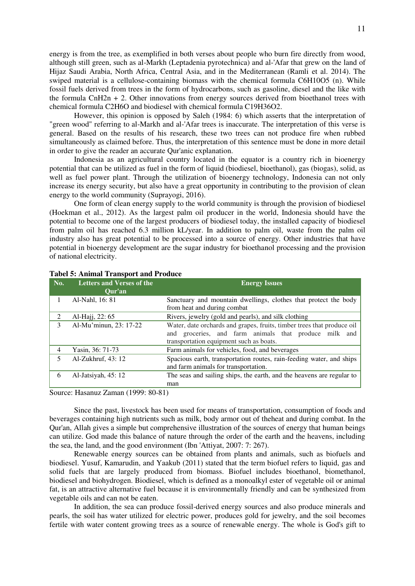energy is from the tree, as exemplified in both verses about people who burn fire directly from wood, although still green, such as al-Markh (Leptadenia pyrotechnica) and al-'Afar that grew on the land of Hijaz Saudi Arabia, North Africa, Central Asia, and in the Mediterranean (Ramli et al. 2014). The swiped material is a cellulose-containing biomass with the chemical formula C6H10O5 (n). While fossil fuels derived from trees in the form of hydrocarbons, such as gasoline, diesel and the like with the formula CnH2n  $+ 2$ . Other innovations from energy sources derived from bioethanol trees with chemical formula C2H6O and biodiesel with chemical formula C19H36O2.

However, this opinion is opposed by Saleh (1984: 6) which asserts that the interpretation of "green wood" referring to al-Markh and al-'Afar trees is inaccurate. The interpretation of this verse is general. Based on the results of his research, these two trees can not produce fire when rubbed simultaneously as claimed before. Thus, the interpretation of this sentence must be done in more detail in order to give the reader an accurate Qur'anic explanation.

Indonesia as an agricultural country located in the equator is a country rich in bioenergy potential that can be utilized as fuel in the form of liquid (biodiesel, bioethanol), gas (biogas), solid, as well as fuel power plant. Through the utilization of bioenergy technology, Indonesia can not only increase its energy security, but also have a great opportunity in contributing to the provision of clean energy to the world community (Suprayogi, 2016).

One form of clean energy supply to the world community is through the provision of biodiesel (Hoekman et al., 2012). As the largest palm oil producer in the world, Indonesia should have the potential to become one of the largest producers of biodiesel today, the installed capacity of biodiesel from palm oil has reached 6.3 million kL/year. In addition to palm oil, waste from the palm oil industry also has great potential to be processed into a source of energy. Other industries that have potential in bioenergy development are the sugar industry for bioethanol processing and the provision of national electricity.

| No.           | <b>Letters and Verses of the</b><br>Our'an | <b>Energy Issues</b>                                                                                                                                                       |
|---------------|--------------------------------------------|----------------------------------------------------------------------------------------------------------------------------------------------------------------------------|
|               | Al-Nahl, 16: 81                            | Sanctuary and mountain dwellings, clothes that protect the body<br>from heat and during combat                                                                             |
| $\mathcal{D}$ | Al-Hajj, 22: 65                            | Rivers, jewelry (gold and pearls), and silk clothing                                                                                                                       |
| 3             | Al-Mu'minun, 23: 17-22                     | Water, date orchards and grapes, fruits, timber trees that produce oil<br>and groceries, and farm animals that produce milk and<br>transportation equipment such as boats. |
| 4             | Yasin, 36: 71-73                           | Farm animals for vehicles, food, and beverages                                                                                                                             |
| 5             | Al-Zukhruf, 43: 12                         | Spacious earth, transportation routes, rain-feeding water, and ships<br>and farm animals for transportation.                                                               |
| 6             | Al-Jatsiyah, 45: 12                        | The seas and sailing ships, the earth, and the heavens are regular to<br>man                                                                                               |

#### **Tabel 5: Animal Transport and Produce**

Source: Hasanuz Zaman (1999: 80-81)

Since the past, livestock has been used for means of transportation, consumption of foods and beverages containing high nutrients such as milk, body armor out of theheat and during combat. In the Qur'an, Allah gives a simple but comprehensive illustration of the sources of energy that human beings can utilize. God made this balance of nature through the order of the earth and the heavens, including the sea, the land, and the good environment (Ibn 'Attiyat, 2007: 7: 267).

Renewable energy sources can be obtained from plants and animals, such as biofuels and biodiesel. Yusuf, Kamarudin, and Yaakub (2011) stated that the term biofuel refers to liquid, gas and solid fuels that are largely produced from biomass. Biofuel includes bioethanol, biomethanol, biodiesel and biohydrogen. Biodiesel, which is defined as a monoalkyl ester of vegetable oil or animal fat, is an attractive alternative fuel because it is environmentally friendly and can be synthesized from vegetable oils and can not be eaten.

In addition, the sea can produce fossil-derived energy sources and also produce minerals and pearls, the soil has water utilized for electric power, produces gold for jewelry, and the soil becomes fertile with water content growing trees as a source of renewable energy. The whole is God's gift to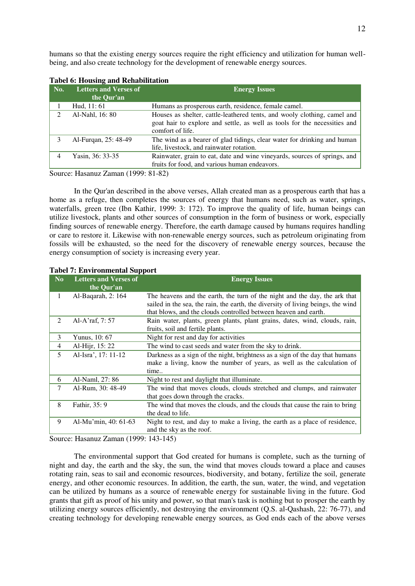humans so that the existing energy sources require the right efficiency and utilization for human wellbeing, and also create technology for the development of renewable energy sources.

| No. | <b>Letters and Verses of</b><br>the Qur'an | <b>Energy Issues</b>                                                                                                                                                      |
|-----|--------------------------------------------|---------------------------------------------------------------------------------------------------------------------------------------------------------------------------|
|     | Hud, 11: 61                                | Humans as prosperous earth, residence, female camel.                                                                                                                      |
|     | Al-Nahl, 16: 80                            | Houses as shelter, cattle-leathered tents, and wooly clothing, camel and<br>goat hair to explore and settle, as well as tools for the necessities and<br>comfort of life. |
|     | Al-Furqan, 25: 48-49                       | The wind as a bearer of glad tidings, clear water for drinking and human<br>life, livestock, and rainwater rotation.                                                      |
|     | Yasin, 36: 33-35                           | Rainwater, grain to eat, date and wine vineyards, sources of springs, and<br>fruits for food, and various human endeavors.                                                |

# **Tabel 6: Housing and Rehabilitation**

Source: Hasanuz Zaman (1999: 81-82)

In the Qur'an described in the above verses, Allah created man as a prosperous earth that has a home as a refuge, then completes the sources of energy that humans need, such as water, springs, waterfalls, green tree (Ibn Kathir, 1999: 3: 172). To improve the quality of life, human beings can utilize livestock, plants and other sources of consumption in the form of business or work, especially finding sources of renewable energy. Therefore, the earth damage caused by humans requires handling or care to restore it. Likewise with non-renewable energy sources, such as petroleum originating from fossils will be exhausted, so the need for the discovery of renewable energy sources, because the energy consumption of society is increasing every year.

| <b>Tabel 7: Environmental Support</b> |  |
|---------------------------------------|--|
|---------------------------------------|--|

| N <sub>0</sub> | <b>Letters and Verses of</b><br>the Qur'an | <b>Energy Issues</b>                                                                                                                                                                                                              |  |
|----------------|--------------------------------------------|-----------------------------------------------------------------------------------------------------------------------------------------------------------------------------------------------------------------------------------|--|
| 1              | Al-Baqarah, 2: 164                         | The heavens and the earth, the turn of the night and the day, the ark that<br>sailed in the sea, the rain, the earth, the diversity of living beings, the wind<br>that blows, and the clouds controlled between heaven and earth. |  |
| 2              | Al-A'raf, 7: 57                            | Rain water, plants, green plants, plant grains, dates, wind, clouds, rain,<br>fruits, soil and fertile plants.                                                                                                                    |  |
| 3              | Yunus, 10:67                               | Night for rest and day for activities                                                                                                                                                                                             |  |
| 4              | Al-Hijr, 15: 22                            | The wind to cast seeds and water from the sky to drink.                                                                                                                                                                           |  |
| 5              | Al-Isra', 17: 11-12                        | Darkness as a sign of the night, brightness as a sign of the day that humans<br>make a living, know the number of years, as well as the calculation of<br>time                                                                    |  |
| 6              | Al-Naml, 27: 86                            | Night to rest and daylight that illuminate.                                                                                                                                                                                       |  |
| 7              | Al-Rum, 30: 48-49                          | The wind that moves clouds, clouds stretched and clumps, and rainwater<br>that goes down through the cracks.                                                                                                                      |  |
| 8              | Fathir, 35: 9                              | The wind that moves the clouds, and the clouds that cause the rain to bring<br>the dead to life.                                                                                                                                  |  |
| 9              | Al-Mu'min, 40: 61-63                       | Night to rest, and day to make a living, the earth as a place of residence,<br>and the sky as the roof.                                                                                                                           |  |

Source: Hasanuz Zaman (1999: 143-145)

The environmental support that God created for humans is complete, such as the turning of night and day, the earth and the sky, the sun, the wind that moves clouds toward a place and causes rotating rain, seas to sail and economic resources, biodiversity, and botany, fertilize the soil, generate energy, and other economic resources. In addition, the earth, the sun, water, the wind, and vegetation can be utilized by humans as a source of renewable energy for sustainable living in the future. God grants that gift as proof of his unity and power, so that man's task is nothing but to prosper the earth by utilizing energy sources efficiently, not destroying the environment (Q.S. al-Qashash, 22: 76-77), and creating technology for developing renewable energy sources, as God ends each of the above verses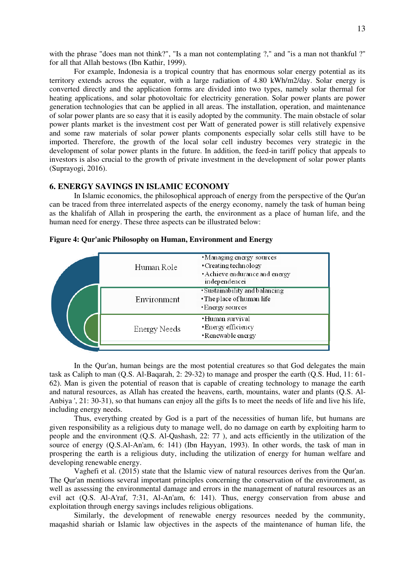with the phrase "does man not think?", "Is a man not contemplating ?," and "is a man not thankful ?" for all that Allah bestows (Ibn Kathir, 1999).

For example, Indonesia is a tropical country that has enormous solar energy potential as its territory extends across the equator, with a large radiation of 4.80 kWh/m2/day. Solar energy is converted directly and the application forms are divided into two types, namely solar thermal for heating applications, and solar photovoltaic for electricity generation. Solar power plants are power generation technologies that can be applied in all areas. The installation, operation, and maintenance of solar power plants are so easy that it is easily adopted by the community. The main obstacle of solar power plants market is the investment cost per Watt of generated power is still relatively expensive and some raw materials of solar power plants components especially solar cells still have to be imported. Therefore, the growth of the local solar cell industry becomes very strategic in the development of solar power plants in the future. In addition, the feed-in tariff policy that appeals to investors is also crucial to the growth of private investment in the development of solar power plants (Suprayogi, 2016).

# **6. ENERGY SAVINGS IN ISLAMIC ECONOMY**

In Islamic economics, the philosophical approach of energy from the perspective of the Qur'an can be traced from three interrelated aspects of the energy economy, namely the task of human being as the khalifah of Allah in prospering the earth, the environment as a place of human life, and the human need for energy. These three aspects can be illustrated below:

#### **Figure 4: Qur'anic Philosophy on Human, Environment and Energy**



In the Qur'an, human beings are the most potential creatures so that God delegates the main task as Caliph to man (Q.S. Al-Baqarah, 2: 29-32) to manage and prosper the earth (Q.S. Hud, 11: 61- 62). Man is given the potential of reason that is capable of creating technology to manage the earth and natural resources, as Allah has created the heavens, earth, mountains, water and plants (Q.S. Al-Anbiya ', 21: 30-31), so that humans can enjoy all the gifts Is to meet the needs of life and live his life, including energy needs.

Thus, everything created by God is a part of the necessities of human life, but humans are given responsibility as a religious duty to manage well, do no damage on earth by exploiting harm to people and the environment (Q.S. Al-Qashash, 22: 77 ), and acts efficiently in the utilization of the source of energy (Q.S.Al-An'am, 6: 141) (Ibn Hayyan, 1993). In other words, the task of man in prospering the earth is a religious duty, including the utilization of energy for human welfare and developing renewable energy.

Vaghefi et al. (2015) state that the Islamic view of natural resources derives from the Qur'an. The Qur'an mentions several important principles concerning the conservation of the environment, as well as assessing the environmental damage and errors in the management of natural resources as an evil act (Q.S. Al-A'raf, 7:31, Al-An'am, 6: 141). Thus, energy conservation from abuse and exploitation through energy savings includes religious obligations.

Similarly, the development of renewable energy resources needed by the community, maqashid shariah or Islamic law objectives in the aspects of the maintenance of human life, the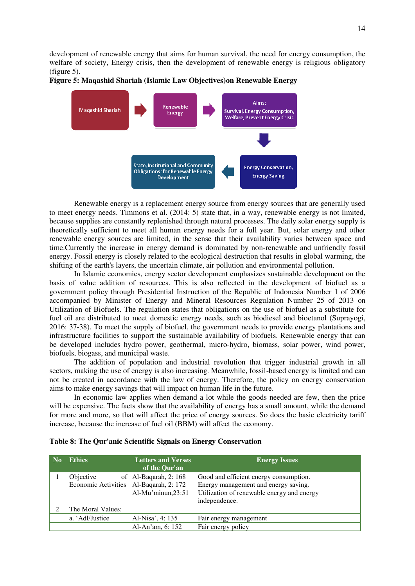development of renewable energy that aims for human survival, the need for energy consumption, the welfare of society, Energy crisis, then the development of renewable energy is religious obligatory (figure 5).



#### **Figure 5: Maqashid Shariah (Islamic Law Objectives)on Renewable Energy**

Renewable energy is a replacement energy source from energy sources that are generally used to meet energy needs. Timmons et al. (2014: 5) state that, in a way, renewable energy is not limited, because supplies are constantly replenished through natural processes. The daily solar energy supply is theoretically sufficient to meet all human energy needs for a full year. But, solar energy and other renewable energy sources are limited, in the sense that their availability varies between space and time.Currently the increase in energy demand is dominated by non-renewable and unfriendly fossil energy. Fossil energy is closely related to the ecological destruction that results in global warming, the shifting of the earth's layers, the uncertain climate, air pollution and environmental pollution.

In Islamic economics, energy sector development emphasizes sustainable development on the basis of value addition of resources. This is also reflected in the development of biofuel as a government policy through Presidential Instruction of the Republic of Indonesia Number 1 of 2006 accompanied by Minister of Energy and Mineral Resources Regulation Number 25 of 2013 on Utilization of Biofuels. The regulation states that obligations on the use of biofuel as a substitute for fuel oil are distributed to meet domestic energy needs, such as biodiesel and bioetanol (Suprayogi, 2016: 37-38). To meet the supply of biofuel, the government needs to provide energy plantations and infrastructure facilities to support the sustainable availability of biofuels. Renewable energy that can be developed includes hydro power, geothermal, micro-hydro, biomass, solar power, wind power, biofuels, biogass, and municipal waste.

The addition of population and industrial revolution that trigger industrial growth in all sectors, making the use of energy is also increasing. Meanwhile, fossil-based energy is limited and can not be created in accordance with the law of energy. Therefore, the policy on energy conservation aims to make energy savings that will impact on human life in the future.

In economic law applies when demand a lot while the goods needed are few, then the price will be expensive. The facts show that the availability of energy has a small amount, while the demand for more and more, so that will affect the price of energy sources. So does the basic electricity tariff increase, because the increase of fuel oil (BBM) will affect the economy.

| - No | <b>Ethics</b>                         | <b>Letters and Verses</b><br>of the Qur'an | <b>Energy Issues</b>                       |
|------|---------------------------------------|--------------------------------------------|--------------------------------------------|
|      | Objective                             | of Al-Baqarah, $2:168$                     | Good and efficient energy consumption.     |
|      | Economic Activities Al-Baqarah, 2:172 |                                            | Energy management and energy saving.       |
|      |                                       | Al-Mu'minun,23:51                          | Utilization of renewable energy and energy |
|      |                                       |                                            | independence.                              |
|      | The Moral Values:                     |                                            |                                            |
|      | a. 'Adl/Justice                       | Al-Nisa', 4: 135                           | Fair energy management                     |
|      |                                       | Al-An'am, 6: 152                           | Fair energy policy                         |

|  |  |  |  |  |  | Table 8: The Qur'anic Scientific Signals on Energy Conservation |
|--|--|--|--|--|--|-----------------------------------------------------------------|
|--|--|--|--|--|--|-----------------------------------------------------------------|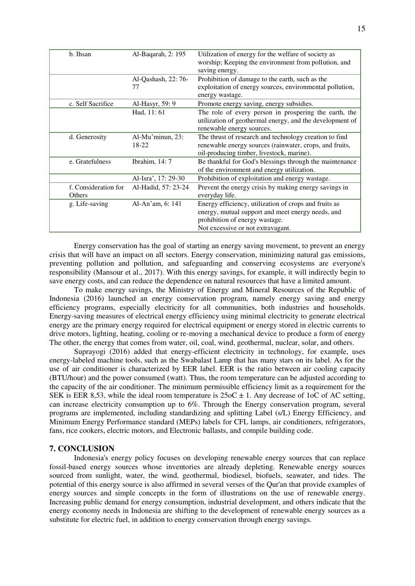| b. Ihsan                       | Al-Baqarah, 2: 195        | Utilization of energy for the welfare of society as<br>worship; Keeping the environment from pollution, and<br>saving energy.                                                     |
|--------------------------------|---------------------------|-----------------------------------------------------------------------------------------------------------------------------------------------------------------------------------|
|                                | Al-Qashash, 22: 76-<br>77 | Prohibition of damage to the earth, such as the<br>exploitation of energy sources, environmental pollution,<br>energy wastage.                                                    |
| c. Self Sacrifice              | Al-Hasyr, 59: 9           | Promote energy saving, energy subsidies.                                                                                                                                          |
|                                | Hud, 11:61                | The role of every person in prospering the earth, the<br>utilization of geothermal energy, and the development of<br>renewable energy sources.                                    |
| d. Generosity                  | Al-Mu'minun, 23:<br>18-22 | The thrust of research and technology creation to find<br>renewable energy sources (rainwater, crops, and fruits,<br>oil-producing timber, livestock, marine).                    |
| e. Gratefulness                | Ibrahim, 14:7             | Be thankful for God's blessings through the maintenance<br>of the environment and energy utilization.                                                                             |
|                                | Al-Isra', 17: 29-30       | Prohibition of exploitation and energy wastage.                                                                                                                                   |
| f. Consideration for<br>Others | Al-Hadid, 57: 23-24       | Prevent the energy crisis by making energy savings in<br>everyday life.                                                                                                           |
| g. Life-saving                 | Al-An'am, 6: 141          | Energy efficiency, utilization of crops and fruits as<br>energy, mutual support and meet energy needs, and<br>prohibition of energy wastage.<br>Not excessive or not extravagant. |

Energy conservation has the goal of starting an energy saving movement, to prevent an energy crisis that will have an impact on all sectors. Energy conservation, minimizing natural gas emissions, preventing pollution and pollution, and safeguarding and conserving ecosystems are everyone's responsibility (Mansour et al., 2017). With this energy savings, for example, it will indirectly begin to save energy costs, and can reduce the dependence on natural resources that have a limited amount.

To make energy savings, the Ministry of Energy and Mineral Resources of the Republic of Indonesia (2016) launched an energy conservation program, namely energy saving and energy efficiency programs, especially electricity for all communities, both industries and households. Energy-saving measures of electrical energy efficiency using minimal electricity to generate electrical energy are the primary energy required for electrical equipment or energy stored in electric currents to drive motors, lighting, heating, cooling or re-moving a mechanical device to produce a form of energy The other, the energy that comes from water, oil, coal, wind, geothermal, nuclear, solar, and others.

Suprayogi (2016) added that energy-efficient electricity in technology, for example, uses energy-labeled machine tools, such as the Swabalast Lamp that has many stars on its label. As for the use of air conditioner is characterized by EER label. EER is the ratio between air cooling capacity (BTU/hour) and the power consumed (watt). Thus, the room temperature can be adjusted according to the capacity of the air conditioner. The minimum permissible efficiency limit as a requirement for the SEK is EER 8,53, while the ideal room temperature is  $250C \pm 1$ . Any decrease of 1oC of AC setting, can increase electricity consumption up to 6%. Through the Energy conservation program, several programs are implemented, including standardizing and splitting Label (s/L) Energy Efficiency, and Minimum Energy Performance standard (MEPs) labels for CFL lamps, air conditioners, refrigerators, fans, rice cookers, electric motors, and Electronic ballasts, and compile building code.

#### **7. CONCLUSION**

Indonesia's energy policy focuses on developing renewable energy sources that can replace fossil-based energy sources whose inventories are already depleting. Renewable energy sources sourced from sunlight, water, the wind, geothermal, biodiesel, biofuels, seawater, and tides. The potential of this energy source is also affirmed in several verses of the Qur'an that provide examples of energy sources and simple concepts in the form of illustrations on the use of renewable energy. Increasing public demand for energy consumption, industrial development, and others indicate that the energy economy needs in Indonesia are shifting to the development of renewable energy sources as a substitute for electric fuel, in addition to energy conservation through energy savings.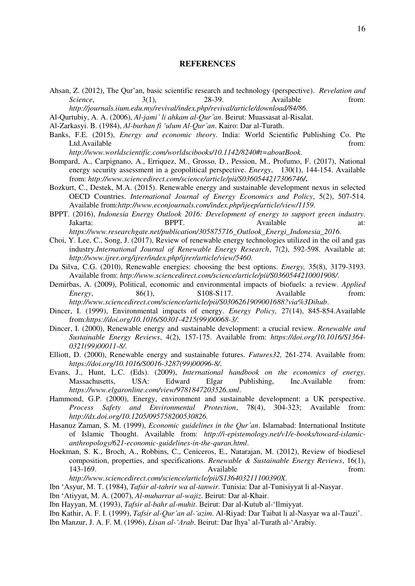#### **REFERENCES**

Ahsan, Z. (2012), The Qur'an, basic scientific research and technology (perspective). *Revelation and Science*, 3(1), 28-39. Available from:

*[http://journals.iium.edu.my/revival/index.php/revival/article/download/84/86.](http://journals.iium.edu.my/revival/index.php/revival/article/download/84/86)*

- Al-Qurtubiy, A. A. (2006), *Al-jami' li ahkam al-Qur'an*. Beirut: Muassasat al-Risalat.
- Al-Zarkasyi. B. (1984), *Al-burhan fi 'ulum Al-Qur'an*. Kairo: Dar al-Turath.
- Banks, F.E. (2015), *Energy and economic theory*. India: World Scientific Publishing Co. Pte Ltd.Available from:

*[http://www.worldscientific.com/worldscibooks/10.1142/8240#t=aboutBook.](http://www.worldscientific.com/worldscibooks/10.1142/8240#t=aboutBook)*

- Bompard, A., Carpignano, A., Erriquez, M., Grosso, D., Pession, M., Profumo, F. (2017), National energy security assessment in a geopolitical perspective. *[Energy](http://www.sciencedirect.com/science/journal/03605442)*, [130\(](130)1), 144-154. Available from: *[http://www.sciencedirect.com/science/article/pii/S0360544217306746](http://www.sciencedirect.com/science/article/pii/S0360544217306746/)/***.**
- Bozkurt, C., Destek, M.A. (2015). Renewable energy and sustainable development nexus in selected OECD Countries. *International Journal of Energy Economics and Policy*, 5(2), 507-514. Available from:*[http://www.econjournals.com/index.php/ijeep/article/view/1159.](http://www.econjournals.com/index.php/ijeep/article/view/1159)*
- BPPT. (2016), *Indonesia Energy Outlook 2016: Development of energy to support green industry.* Jakarta: BPPT. BPPT. Available at: *[https://www.researchgate.net/publication/305875716\\_Outlook\\_Energi\\_Indonesia\\_2016.](https://www.researchgate.net/publication/305875716_Outlook_Energi_Indonesia_2016)*
- Choi, Y. Lee, C., Song, J. (2017), Review of renewable energy technologies utilized in the oil and gas industry.*International Journal of Renewable Energy Research*, 7(2), 592-598. Available at: *[http://www.ijrer.org/ijrer/index.php/ijrer/article/view/5460.](http://www.ijrer.org/ijrer/index.php/ijrer/article/view/5460)*
- Da Silva, C.G. (2010), Renewable energies: choosing the best options. *Energy,* 35(8), 3179-3193. Available from: *<http://www.sciencedirect.com/science/article/pii/S0360544210001908/>*.
- Demirbas, A. (2009), Political, economic and environmental impacts of biofuels: a review. *Applied Energy*, 86(1), S108-S117. Available from: *<http://www.sciencedirect.com/science/article/pii/S0306261909001688?via%3Dihub>*.
	-
- Dincer, I. (1999), Environmental impacts of energy. *[Energy Policy,](http://www.sciencedirect.com/science/journal/03014215)* 27(14), 845-854.Available from:*[https://doi.org/10.1016/S0301-4215\(99\)00068-3/](https://doi.org/10.1016/S0301-4215(99)00068-3/)*.
- Dincer, I. (2000), Renewable energy and sustainable development: a crucial review. *Renewable and Sustainable Energy Reviews*, 4(2), 157-175. Available from: *[https://doi.org/10.1016/S1364-](https://doi.org/10.1016/S1364-0321(99)00011-8/) [0321\(99\)00011-8/](https://doi.org/10.1016/S1364-0321(99)00011-8/)*.
- Elliott, D. (2000), Renewable energy and sustainable futures. *[Futures3](http://www.sciencedirect.com/science/journal/00163287)2,* 261-274. Available from: *[https://doi.org/10.1016/S0016-3287\(99\)00096-8/](https://doi.org/10.1016/S0016-3287(99)00096-8/)*.
- Evans, J., Hunt, L.C. (Eds). (2009), *International handbook on the economics of energy*. Massachusetts, USA: Edward Elgar Publishing, Inc.Available from: *<https://www.elgaronline.com/view/9781847203526.xml>*.
- Hammond, G.P. (2000), Energy, environment and sustainable development: a UK perspective. *[Process Safety and Environmental Protection](http://www.sciencedirect.com/science/journal/09575820)*, 78(4), 304-323; Available from: *http://dx.doi.org/10.1205/095758200530826.*
- Hasanuz Zaman, S. M. (1999), *Economic guidelines in the Qur'an*. Islamabad: International Institute of Islamic Thought. Available from: *[http://i-epistemology.net/v1/e-books/toward-islamic](http://i-epistemology.net/v1/e-books/toward-islamic-anthropology/621-economic-guidelines-in-the-quran.html)[anthropology/621-economic-guidelines-in-the-quran.html](http://i-epistemology.net/v1/e-books/toward-islamic-anthropology/621-economic-guidelines-in-the-quran.html)*.
- Hoekman, S. K., Broch, A., Robbins, C., Ceniceros, E., Natarajan, M. (2012), Review of biodiesel composition, properties, and specifications. *Renewable & Sustainable Energy Reviews*, 16(1), 143-169. Contract a method of Available from: the from: *[http://www.sciencedirect.com/science/article/pii/S136403211100390X.](http://www.sciencedirect.com/science/article/pii/S136403211100390X)*
- Ibn 'Asyur, M. T. (1984), *Tafsir al-tahrir wa al-tanwir*. Tunisia: Dar al-Tunisiyyat li al-Nasyar.
- Ibn 'Atiyyat, M. A. (2007), *Al-muharrar al-wajiz*. Beirut: Dar al-Khair.
- Ibn Hayyan, M. (1993), *Tafsir al-bahr al-muhit*. Beirut: Dar al-Kutub al-'Ilmiyyat.
- Ibn Kathir, A. F. I. (1999), *Tafsir al-Qur'an al-'azim*. Al-Riyad: Dar Taibat li al-Nasyar wa al-Tauzi'.
- Ibn Manzur, J. A. F. M. (1996), *Lisan al-'Arab*. Beirut: Dar Ihya' al-Turath al-'Arabiy.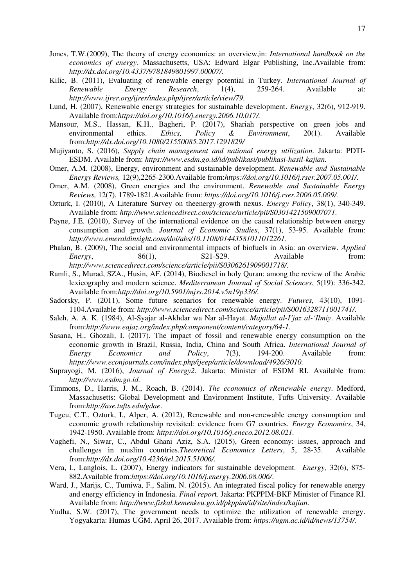- Jones, T.W.(2009), The theory of energy economics: an overview,in: *International handbook on the economics of energy*. Massachusetts, USA: Edward Elgar Publishing, Inc.Available from: *[http://dx.doi.org/10.4337/9781849801997.00007/.](http://dx.doi.org/10.4337/9781849801997.00007/)*
- Kilic, B. (2011), Evaluating of renewable energy potential in Turkey. *International Journal of Renewable Energy Research*, 1(4), 259-264. Available at: *Renewable Energy Research*, 1(4), 259-264. Available at: *[http://www.ijrer.org/ijrer/index.php/ijrer/article/view/79.](http://www.ijrer.org/ijrer/index.php/ijrer/article/view/79)*
- Lund, H. (2007), Renewable energy strategies for sustainable development. *Energy*, 32(6), 912-919. Available from:*[https://doi.org/10.1016/j.energy.2006.10.017/.](https://doi.org/10.1016/j.energy.2006.10.017/)*
- Mansour, M.S., Hassan, K.H., Bagheri, P. (2017), Shariah perspective on green jobs and environmental ethics. *Ethics, Policy & Environment*, 20(1). Available from:*<http://dx.doi.org/10.1080/21550085.2017.1291829/>*
- Mujiyanto, S. (2016), *Supply chain management and national energy utilization.* Jakarta: PDTI-ESDM. Available from: *[https://www.esdm.go.id/id/publikasi/publikasi-hasil-kajian.](https://www.esdm.go.id/id/publikasi/publikasi-hasil-kajian)*
- Omer, A.M. (2008), Energy, environment and sustainable development. *[Renewable and Sustainable](http://www.sciencedirect.com/science/journal/13640321)  [Energy Reviews,](http://www.sciencedirect.com/science/journal/13640321)* 12(9),2265-2300.Available from:*<https://doi.org/10.1016/j.rser.2007.05.001/>*.
- Omer, A.M. (2008), Green energies and the environment. *[Renewable and Sustainable Energy](http://www.sciencedirect.com/science/journal/13640321)  [Reviews,](http://www.sciencedirect.com/science/journal/13640321)* 12(7), 1789-1821.Available from: *[https://doi.org/10.1016/j.rser.2006.05.009/.](https://doi.org/10.1016/j.rser.2006.05.009/)*
- Ozturk, I. (2010), A Literature Survey on theenergy-growth nexus. *Energy Policy*, 38(1), 340-349. Available from: *[http://www.sciencedirect.com/science/article/pii/S0301421509007071.](http://www.sciencedirect.com/science/article/pii/S0301421509007071)*
- Payne, J.E. (2010), Survey of the international evidence on the causal relationship between energy consumption and growth. *Journal of Economic Studies*, 37(1), 53-95. Available from: *<http://www.emeraldinsight.com/doi/abs/10.1108/01443581011012261>*.
- Phalan, B. (2009), The social and environmental impacts of biofuels in Asia: an overview. *Applied Energy*, 86(1), S21-S29. Available from: *<http://www.sciencedirect.com/science/article/pii/S0306261909001718/>*.
- Ramli, S., Murad, SZA., Husin, AF. (2014), Biodiesel in holy Quran: among the review of the Arabic lexicography and modern science. *Mediterranean Journal of Social Sciences*, 5(19): 336-342. Available from:*[http://doi.org/10.5901/mjss.2014.v5n19p336/.](http://doi.org/10.5901/mjss.2014.v5n19p336/)*
- Sadorsky, P. (2011), Some future scenarios for renewable energy. *Futures,* 43(10), 1091- 1104.Available from: *<http://www.sciencedirect.com/science/article/pii/S0016328711001741/>*.
- Saleh, A. A. K. (1984), Al-Syajar al-Akhdar wa Nar al-Hayat. *Majallat al-I'jaz al-'Ilmiy*. Available from:*[http://www.eajaz.org/index.php/component/content/category/64-1.](http://www.eajaz.org/index.php/component/content/category/64-1)*
- Sasana, H., Ghozali, I. (2017). The impact of fossil and renewable energy consumption on the economic growth in Brazil, Russia, India, China and South Africa. *International Journal of Energy Economics and Policy*, 7(3), 194-200. Available from: *https://www.econjournals.com/index.php/ijeep/article/download/4926/3010.*
- Suprayogi, M. (2016), *Journal of Energy2*. Jakarta: Minister of ESDM RI. Available from: *[http://www.esdm.go.id.](http://www.esdm.go.id/)*
- Timmons, D., Harris, J. M., Roach, B. (2014). *The economics of rRenewable energy*. Medford, Massachusetts: Global Development and Environment Institute, Tufts University. Available from:*<http://ase.tufts.edu/gdae>*.
- Tugcu, C.T., Ozturk, I., Alper, A. (2012), Renewable and non-renewable energy consumption and economic growth relationship revisited: evidence from G7 countries. *Energy Economics*, 34, 1942-1950. Available from: *https://doi.org/10.1016/j.eneco.2012.08.021.*
- Vaghefi, N., Siwar, C., Abdul Ghani Aziz, S.A. (2015), Green economy: issues, approach and challenges in muslim countries*.Theoretical Economics Letters*, 5, 28-35. Available from:*[http://dx.doi.org/10.4236/tel.2015.51006/.](http://dx.doi.org/10.4236/tel.2015.51006/)*
- Vera, I., Langlois, L. (2007), Energy indicators for sustainable development. *[Energy,](http://www.sciencedirect.com/science/journal/03605442)* 32(6), 875- 882.Available from:*<https://doi.org/10.1016/j.energy.2006.08.006/>*.
- Ward, J., Marijs, C., Tumiwa, F., Salim, N. (2015), An integrated fiscal policy for renewable energy and energy efficiency in Indonesia. *Final repor*t. Jakarta: PKPPIM-BKF Minister of Finance RI. Available from: *[http://www.fiskal.kemenkeu.go.id/pkppim/id/site/index/kajian.](http://www.fiskal.kemenkeu.go.id/pkppim/id/site/index/kajian)*
- Yudha, S.W. (2017), The government needs to optimize the utilization of renewable energy. Yogyakarta: Humas UGM. April 26, 2017. Available from: *[https://ugm.ac.id/id/news/13754/.](https://ugm.ac.id/id/news/13754/)*